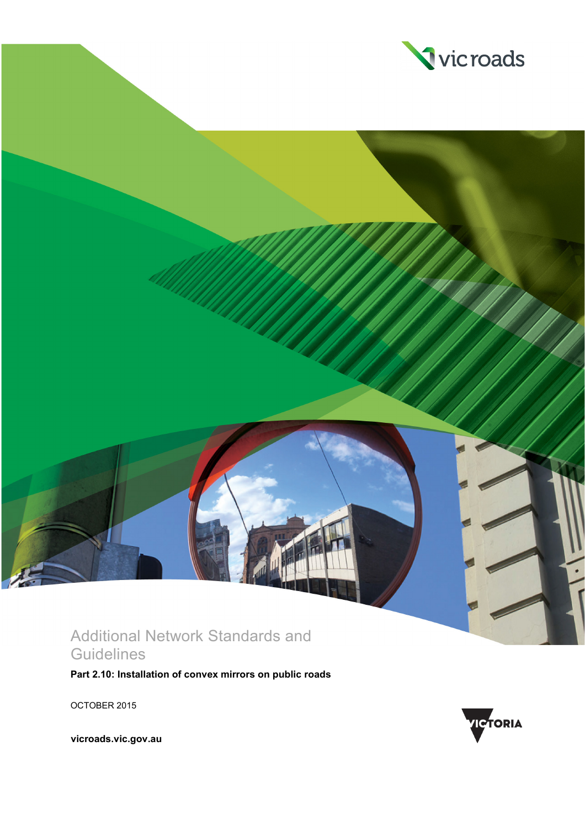

## Additional Network Standards and **Guidelines**

**Part 2.10: Installation of convex mirrors on public roads**

OCTOBER 2015



**vicroads.vic.gov.au**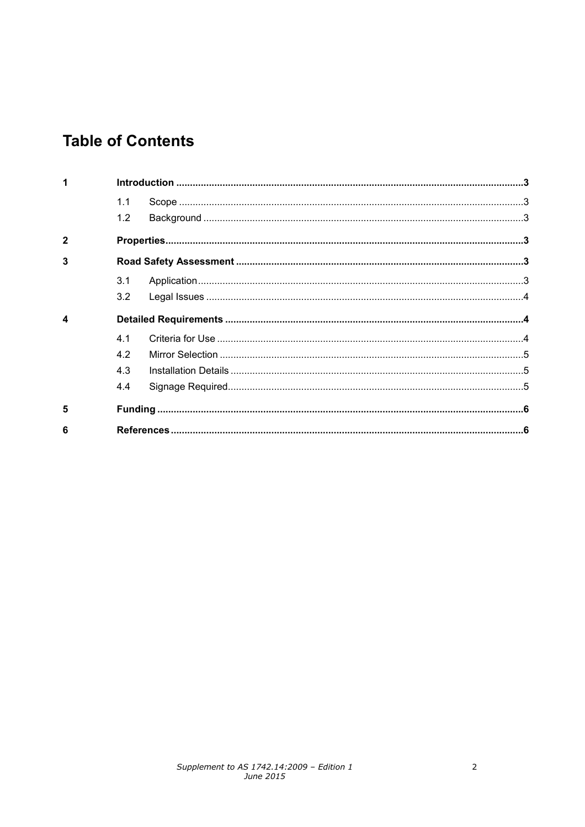# **Table of Contents**

| 1            |     |  |  |  |
|--------------|-----|--|--|--|
|              | 1.1 |  |  |  |
|              | 1.2 |  |  |  |
| $\mathbf{2}$ |     |  |  |  |
| 3            |     |  |  |  |
|              | 3.1 |  |  |  |
|              | 3.2 |  |  |  |
| 4            |     |  |  |  |
|              | 41  |  |  |  |
|              | 42  |  |  |  |
|              | 4.3 |  |  |  |
|              | 4.4 |  |  |  |
| 5            |     |  |  |  |
| 6            |     |  |  |  |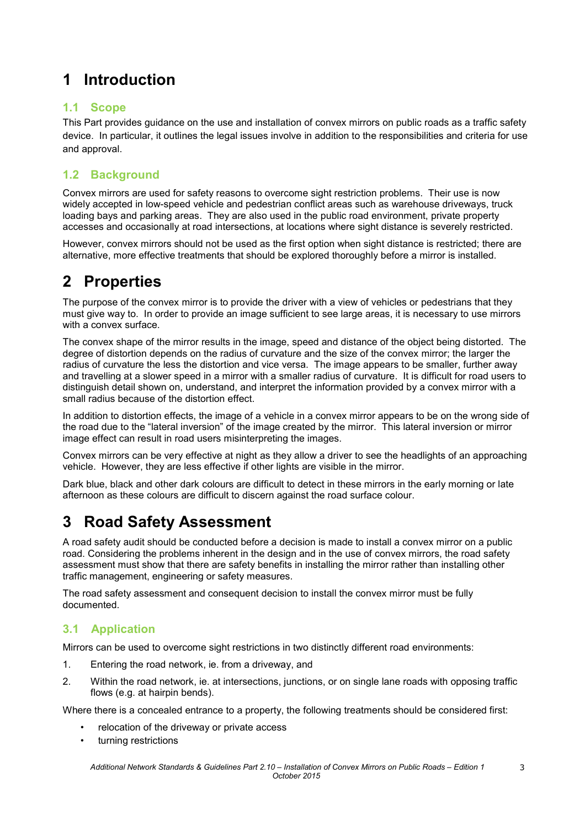## <span id="page-2-0"></span>**1 Introduction**

### <span id="page-2-1"></span>**1.1 Scope**

This Part provides guidance on the use and installation of convex mirrors on public roads as a traffic safety device. In particular, it outlines the legal issues involve in addition to the responsibilities and criteria for use and approval.

### <span id="page-2-2"></span>**1.2 Background**

Convex mirrors are used for safety reasons to overcome sight restriction problems. Their use is now widely accepted in low-speed vehicle and pedestrian conflict areas such as warehouse driveways, truck loading bays and parking areas. They are also used in the public road environment, private property accesses and occasionally at road intersections, at locations where sight distance is severely restricted.

However, convex mirrors should not be used as the first option when sight distance is restricted; there are alternative, more effective treatments that should be explored thoroughly before a mirror is installed.

# <span id="page-2-3"></span>**2 Properties**

The purpose of the convex mirror is to provide the driver with a view of vehicles or pedestrians that they must give way to. In order to provide an image sufficient to see large areas, it is necessary to use mirrors with a convex surface.

The convex shape of the mirror results in the image, speed and distance of the object being distorted. The degree of distortion depends on the radius of curvature and the size of the convex mirror; the larger the radius of curvature the less the distortion and vice versa. The image appears to be smaller, further away and travelling at a slower speed in a mirror with a smaller radius of curvature. It is difficult for road users to distinguish detail shown on, understand, and interpret the information provided by a convex mirror with a small radius because of the distortion effect.

In addition to distortion effects, the image of a vehicle in a convex mirror appears to be on the wrong side of the road due to the "lateral inversion" of the image created by the mirror. This lateral inversion or mirror image effect can result in road users misinterpreting the images.

Convex mirrors can be very effective at night as they allow a driver to see the headlights of an approaching vehicle. However, they are less effective if other lights are visible in the mirror.

Dark blue, black and other dark colours are difficult to detect in these mirrors in the early morning or late afternoon as these colours are difficult to discern against the road surface colour.

# <span id="page-2-4"></span>**3 Road Safety Assessment**

A road safety audit should be conducted before a decision is made to install a convex mirror on a public road. Considering the problems inherent in the design and in the use of convex mirrors, the road safety assessment must show that there are safety benefits in installing the mirror rather than installing other traffic management, engineering or safety measures.

The road safety assessment and consequent decision to install the convex mirror must be fully documented.

### <span id="page-2-5"></span>**3.1 Application**

Mirrors can be used to overcome sight restrictions in two distinctly different road environments:

- 1. Entering the road network, ie. from a driveway, and
- 2. Within the road network, ie. at intersections, junctions, or on single lane roads with opposing traffic flows (e.g. at hairpin bends).

Where there is a concealed entrance to a property, the following treatments should be considered first:

- relocation of the driveway or private access
- turning restrictions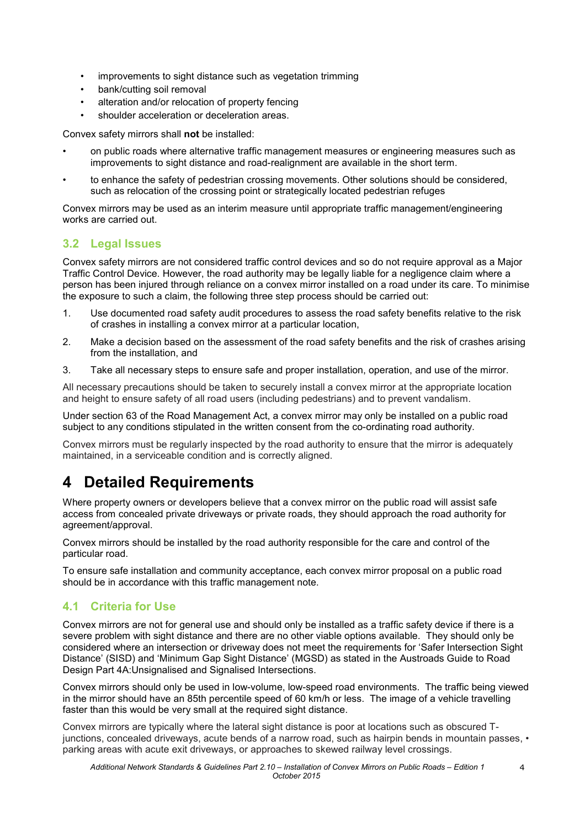- improvements to sight distance such as vegetation trimming
- bank/cutting soil removal
- alteration and/or relocation of property fencing
- shoulder acceleration or deceleration areas.

Convex safety mirrors shall **not** be installed:

- on public roads where alternative traffic management measures or engineering measures such as improvements to sight distance and road-realignment are available in the short term.
- to enhance the safety of pedestrian crossing movements. Other solutions should be considered, such as relocation of the crossing point or strategically located pedestrian refuges

Convex mirrors may be used as an interim measure until appropriate traffic management/engineering works are carried out.

### <span id="page-3-0"></span>**3.2 Legal Issues**

Convex safety mirrors are not considered traffic control devices and so do not require approval as a Major Traffic Control Device. However, the road authority may be legally liable for a negligence claim where a person has been injured through reliance on a convex mirror installed on a road under its care. To minimise the exposure to such a claim, the following three step process should be carried out:

- 1. Use documented road safety audit procedures to assess the road safety benefits relative to the risk of crashes in installing a convex mirror at a particular location,
- 2. Make a decision based on the assessment of the road safety benefits and the risk of crashes arising from the installation, and
- 3. Take all necessary steps to ensure safe and proper installation, operation, and use of the mirror.

All necessary precautions should be taken to securely install a convex mirror at the appropriate location and height to ensure safety of all road users (including pedestrians) and to prevent vandalism.

Under section 63 of the Road Management Act, a convex mirror may only be installed on a public road subject to any conditions stipulated in the written consent from the co-ordinating road authority.

Convex mirrors must be regularly inspected by the road authority to ensure that the mirror is adequately maintained, in a serviceable condition and is correctly aligned.

## <span id="page-3-1"></span>**4 Detailed Requirements**

Where property owners or developers believe that a convex mirror on the public road will assist safe access from concealed private driveways or private roads, they should approach the road authority for agreement/approval.

Convex mirrors should be installed by the road authority responsible for the care and control of the particular road.

To ensure safe installation and community acceptance, each convex mirror proposal on a public road should be in accordance with this traffic management note.

### <span id="page-3-2"></span>**4.1 Criteria for Use**

Convex mirrors are not for general use and should only be installed as a traffic safety device if there is a severe problem with sight distance and there are no other viable options available. They should only be considered where an intersection or driveway does not meet the requirements for 'Safer Intersection Sight Distance' (SISD) and 'Minimum Gap Sight Distance' (MGSD) as stated in the Austroads Guide to Road Design Part 4A:Unsignalised and Signalised Intersections.

Convex mirrors should only be used in low-volume, low-speed road environments. The traffic being viewed in the mirror should have an 85th percentile speed of 60 km/h or less. The image of a vehicle travelling faster than this would be very small at the required sight distance.

Convex mirrors are typically where the lateral sight distance is poor at locations such as obscured Tjunctions, concealed driveways, acute bends of a narrow road, such as hairpin bends in mountain passes, • parking areas with acute exit driveways, or approaches to skewed railway level crossings.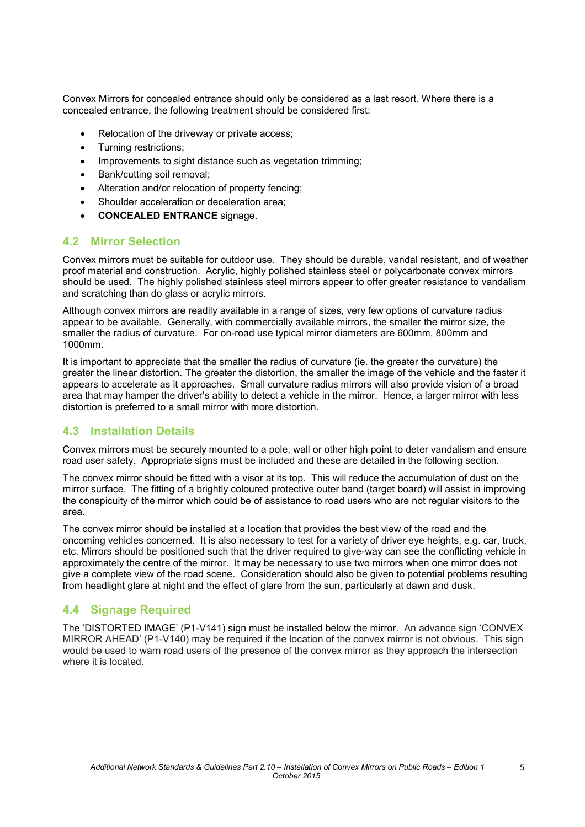Convex Mirrors for concealed entrance should only be considered as a last resort. Where there is a concealed entrance, the following treatment should be considered first:

- Relocation of the driveway or private access;
- Turning restrictions;
- Improvements to sight distance such as vegetation trimming;
- Bank/cutting soil removal;
- Alteration and/or relocation of property fencing;
- Shoulder acceleration or deceleration area;
- **CONCEALED ENTRANCE** signage.

#### <span id="page-4-0"></span>**4.2 Mirror Selection**

Convex mirrors must be suitable for outdoor use. They should be durable, vandal resistant, and of weather proof material and construction. Acrylic, highly polished stainless steel or polycarbonate convex mirrors should be used. The highly polished stainless steel mirrors appear to offer greater resistance to vandalism and scratching than do glass or acrylic mirrors.

Although convex mirrors are readily available in a range of sizes, very few options of curvature radius appear to be available. Generally, with commercially available mirrors, the smaller the mirror size, the smaller the radius of curvature. For on-road use typical mirror diameters are 600mm, 800mm and 1000mm.

It is important to appreciate that the smaller the radius of curvature (ie. the greater the curvature) the greater the linear distortion. The greater the distortion, the smaller the image of the vehicle and the faster it appears to accelerate as it approaches. Small curvature radius mirrors will also provide vision of a broad area that may hamper the driver's ability to detect a vehicle in the mirror. Hence, a larger mirror with less distortion is preferred to a small mirror with more distortion.

#### <span id="page-4-1"></span>**4.3 Installation Details**

Convex mirrors must be securely mounted to a pole, wall or other high point to deter vandalism and ensure road user safety. Appropriate signs must be included and these are detailed in the following section.

The convex mirror should be fitted with a visor at its top. This will reduce the accumulation of dust on the mirror surface. The fitting of a brightly coloured protective outer band (target board) will assist in improving the conspicuity of the mirror which could be of assistance to road users who are not regular visitors to the area.

The convex mirror should be installed at a location that provides the best view of the road and the oncoming vehicles concerned. It is also necessary to test for a variety of driver eye heights, e.g. car, truck, etc. Mirrors should be positioned such that the driver required to give-way can see the conflicting vehicle in approximately the centre of the mirror. It may be necessary to use two mirrors when one mirror does not give a complete view of the road scene. Consideration should also be given to potential problems resulting from headlight glare at night and the effect of glare from the sun, particularly at dawn and dusk.

#### <span id="page-4-2"></span>**4.4 Signage Required**

The 'DISTORTED IMAGE' (P1-V141) sign must be installed below the mirror. An advance sign 'CONVEX MIRROR AHEAD' (P1-V140) may be required if the location of the convex mirror is not obvious. This sign would be used to warn road users of the presence of the convex mirror as they approach the intersection where it is located.

5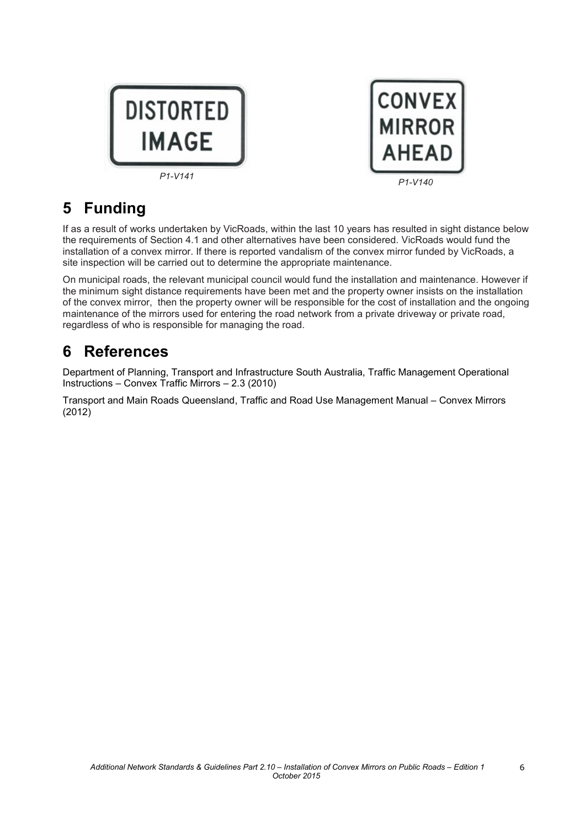



# <span id="page-5-0"></span>**5 Funding**

If as a result of works undertaken by VicRoads, within the last 10 years has resulted in sight distance below the requirements of Section 4.1 and other alternatives have been considered. VicRoads would fund the installation of a convex mirror. If there is reported vandalism of the convex mirror funded by VicRoads, a site inspection will be carried out to determine the appropriate maintenance.

On municipal roads, the relevant municipal council would fund the installation and maintenance. However if the minimum sight distance requirements have been met and the property owner insists on the installation of the convex mirror, then the property owner will be responsible for the cost of installation and the ongoing maintenance of the mirrors used for entering the road network from a private driveway or private road, regardless of who is responsible for managing the road.

## <span id="page-5-1"></span>**6 References**

Department of Planning, Transport and Infrastructure South Australia, Traffic Management Operational Instructions – Convex Traffic Mirrors – 2.3 (2010)

Transport and Main Roads Queensland, Traffic and Road Use Management Manual – Convex Mirrors (2012)